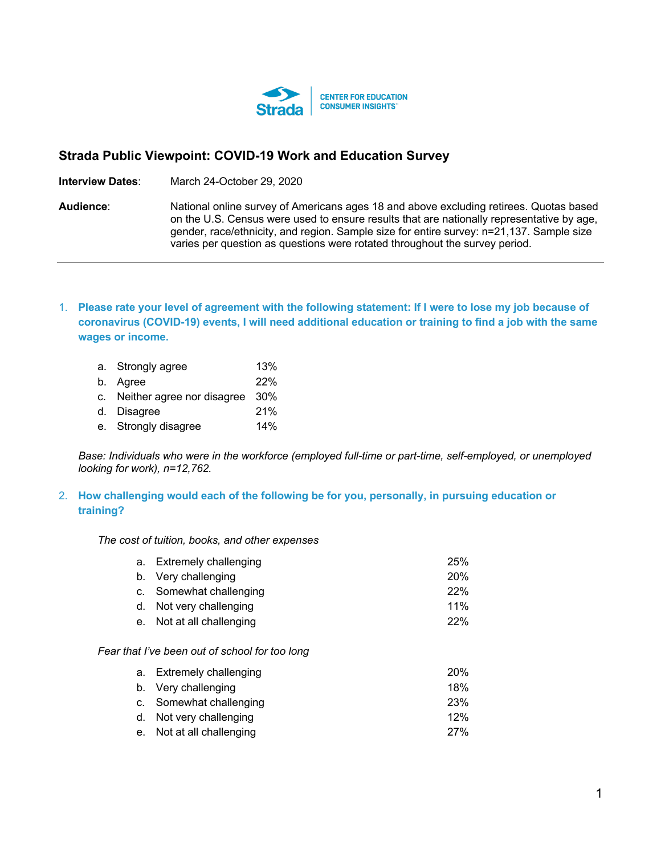

# **Strada Public Viewpoint: COVID-19 Work and Education Survey**

**Interview Dates**: March 24-October 29, 2020

**Audience**: National online survey of Americans ages 18 and above excluding retirees. Quotas based on the U.S. Census were used to ensure results that are nationally representative by age, gender, race/ethnicity, and region. Sample size for entire survey: n=21,137. Sample size varies per question as questions were rotated throughout the survey period.

1. **Please rate your level of agreement with the following statement: If I were to lose my job because of coronavirus (COVID-19) events, I will need additional education or training to find a job with the same wages or income.**

| a. Strongly agree                 | 13%        |
|-----------------------------------|------------|
| b. Agree                          | <b>22%</b> |
| c. Neither agree nor disagree 30% |            |

- d. Disagree 21%
- e. Strongly disagree 14%

*Base: Individuals who were in the workforce (employed full-time or part-time, self-employed, or unemployed looking for work), n=12,762.*

# 2. **How challenging would each of the following be for you, personally, in pursuing education or training?**

*The cost of tuition, books, and other expenses*

| a. Extremely challenging  | <b>25%</b> |
|---------------------------|------------|
| b. Very challenging       | <b>20%</b> |
| c. Somewhat challenging   | 22%        |
| d. Not very challenging   | 11%        |
| e. Not at all challenging | 22%        |

# *Fear that I've been out of school for too long*

| a. Extremely challenging  | <b>20%</b> |
|---------------------------|------------|
| b. Very challenging       | 18%        |
| c. Somewhat challenging   | <b>23%</b> |
| d. Not very challenging   | 12%        |
| e. Not at all challenging | 27%        |
|                           |            |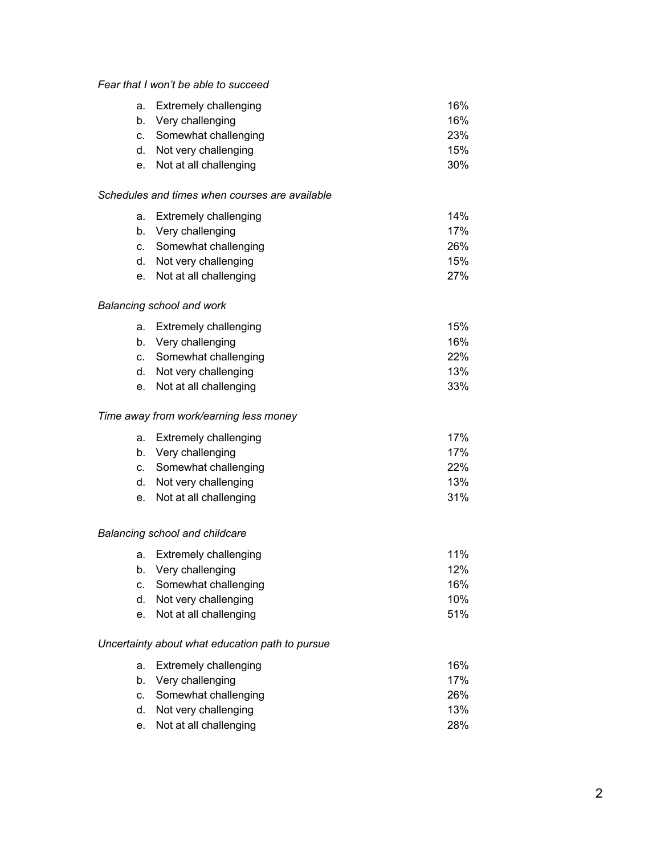# *Fear that I won't be able to succeed*

| a. Extremely challenging  | 16%        |
|---------------------------|------------|
| b. Very challenging       | 16%        |
| c. Somewhat challenging   | <b>23%</b> |
| d. Not very challenging   | 15%        |
| e. Not at all challenging | $30\%$     |

#### *Schedules and times when courses are available*

| a. Extremely challenging  | 14%        |
|---------------------------|------------|
| b. Very challenging       | 17%        |
| c. Somewhat challenging   | 26%        |
| d. Not very challenging   | 15%        |
| e. Not at all challenging | <b>27%</b> |

## *Balancing school and work*

| a. Extremely challenging  | 15% |
|---------------------------|-----|
| b. Very challenging       | 16% |
| c. Somewhat challenging   | 22% |
| d. Not very challenging   | 13% |
| e. Not at all challenging | 33% |

## *Time away from work/earning less money*

| a. Extremely challenging  | 17% |
|---------------------------|-----|
| b. Very challenging       | 17% |
| c. Somewhat challenging   | 22% |
| d. Not very challenging   | 13% |
| e. Not at all challenging | 31% |

## *Balancing school and childcare*

| a. Extremely challenging  | $11\%$ |
|---------------------------|--------|
| b. Very challenging       | 12%    |
| c. Somewhat challenging   | 16%    |
| d. Not very challenging   | 10%    |
| e. Not at all challenging | 51%    |

## *Uncertainty about what education path to pursue*

| 16%        |
|------------|
| 17%        |
| <b>26%</b> |
| 13%        |
| <b>28%</b> |
|            |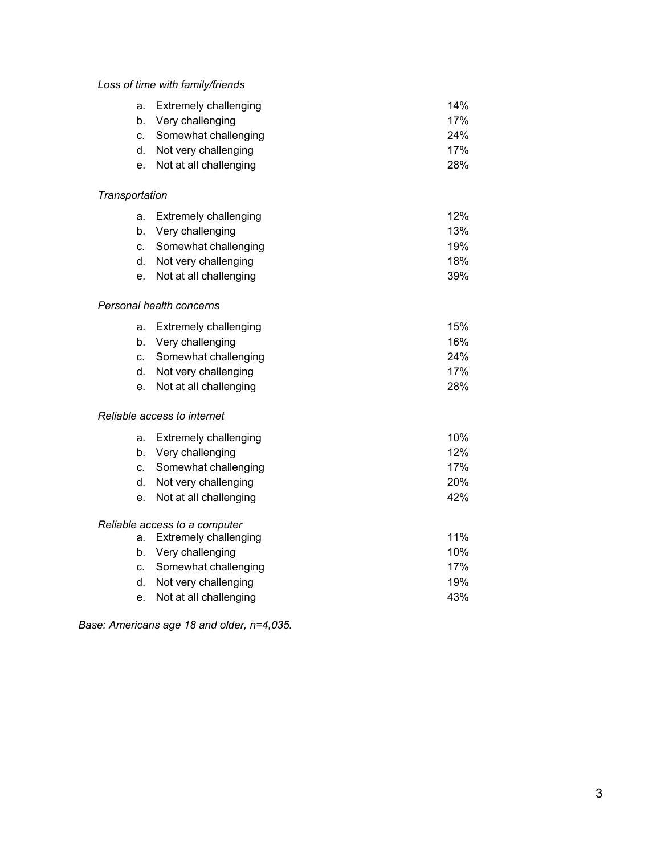# *Loss of time with family/friends*

| a. Extremely challenging | 14% |
|--------------------------|-----|
| b. Very challenging      | 17% |
|                          |     |

c. Somewhat challenging 24% d. Not very challenging and the state of the 17%

e. Not at all challenging 28%

## *Transportation*

| a. Extremely challenging | 12% |
|--------------------------|-----|
| b. Very challenging      | 13% |
| c. Somewhat challenging  | 19% |
| d. Not very challenging  | 18% |

e. Not at all challenging and the state of the 39%

## *Personal health concerns*

| a. Extremely challenging  | 15%        |
|---------------------------|------------|
| b. Very challenging       | 16%        |
| c. Somewhat challenging   | <b>24%</b> |
| d. Not very challenging   | 17%        |
| e. Not at all challenging | <b>28%</b> |

# *Reliable access to internet*

| a.      | <b>Extremely challenging</b>  | 10% |
|---------|-------------------------------|-----|
| b.      | Very challenging              | 12% |
|         | c. Somewhat challenging       | 17% |
| d.      | Not very challenging          | 20% |
| $e_{1}$ | Not at all challenging        | 42% |
|         | Reliable access to a computer |     |
| a.      | <b>Extremely challenging</b>  | 11% |
| b.      | Very challenging              | 10% |

c. Somewhat challenging 17% d. Not very challenging and the state of the 19%

e. Not at all challenging example and the 43%

*Base: Americans age 18 and older, n=4,035.*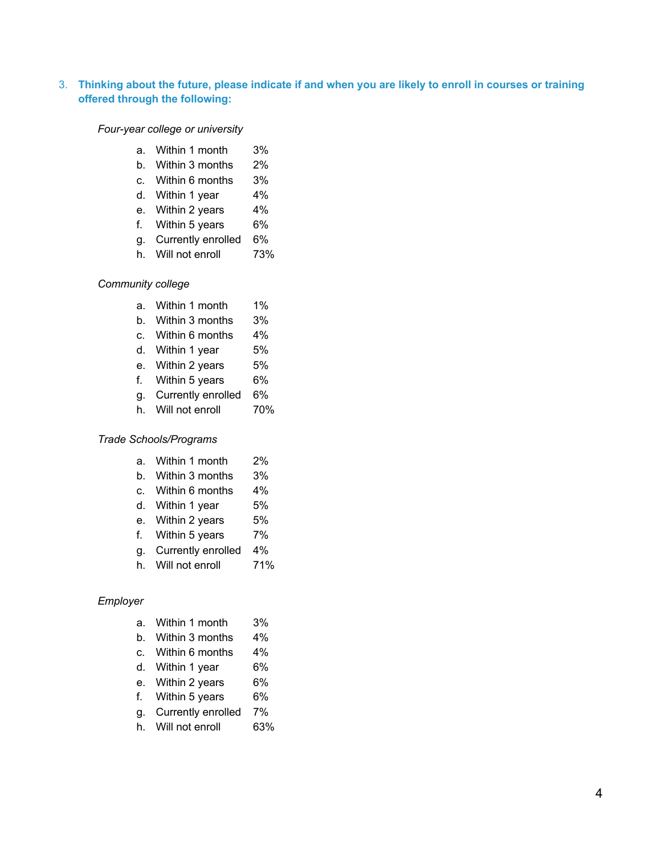# 3. **Thinking about the future, please indicate if and when you are likely to enroll in courses or training offered through the following:**

#### *Four-year college or university*

- a. Within 1 month 3%
- b. Within 3 months 2%
- c. Within 6 months 3%
- d. Within 1 year 4%
- e. Within 2 years 4%
- f. Within 5 years 6%
- g. Currently enrolled 6%
- h. Will not enroll 73%

## *Community college*

- a. Within 1 month 1%
- b. Within 3 months 3%
- c. Within 6 months 4%
- d. Within 1 year 5%
- e. Within 2 years 5%
- f. Within 5 years 6%
- g. Currently enrolled 6%
- h. Will not enroll 70%

# *Trade Schools/Programs*

- a. Within 1 month 2%
- b. Within 3 months 3%
- c. Within 6 months 4%
- d. Within 1 year 5%
- e. Within 2 years 5%
- f. Within 5 years 7%
- g. Currently enrolled 4%
- h. Will not enroll 71%

#### *Employer*

- a. Within 1 month 3%
- b. Within 3 months 4%
- c. Within 6 months 4%
- d. Within 1 year 6%
- e. Within 2 years 6%
- f. Within 5 years 6%
- g. Currently enrolled 7%
- h. Will not enroll 63%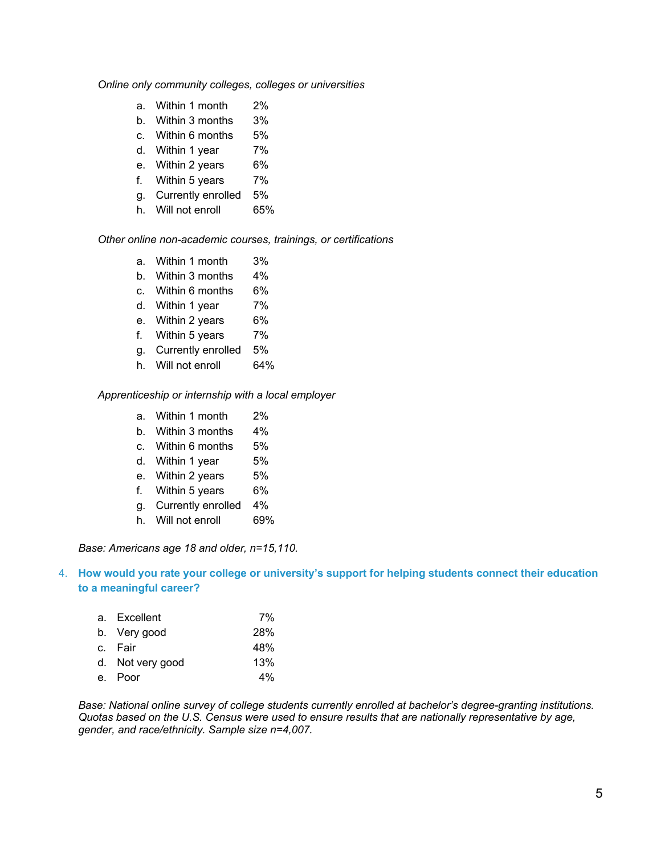#### *Online only community colleges, colleges or universities*

- a. Within 1 month 2%
- b. Within 3 months 3%
- c. Within 6 months 5%
- d. Within 1 year 7%
- e. Within 2 years 6%
- f. Within 5 years 7%
- g. Currently enrolled 5%
- h. Will not enroll 65%

*Other online non-academic courses, trainings, or certifications*

- a. Within 1 month 3%
- b. Within 3 months 4%
- c. Within 6 months 6%
- d. Within 1 year 7%
- e. Within 2 years 6%
- f. Within 5 years 7%
- g. Currently enrolled 5%
- h. Will not enroll 64%

*Apprenticeship or internship with a local employer*

- a. Within 1 month 2%
- b. Within 3 months 4%
- c. Within 6 months 5%
- d. Within 1 year 5%
- e. Within 2 years 5%
- f. Within 5 years 6%
- g. Currently enrolled 4%
- h. Will not enroll 69%

*Base: Americans age 18 and older, n=15,110.*

# 4. **How would you rate your college or university's support for helping students connect their education to a meaningful career?**

| a. Excellent     | 7%         |
|------------------|------------|
| b. Very good     | <b>28%</b> |
| c. Fair          | 48%        |
| d. Not very good | 13%        |
| e. Poor          | $4\%$      |
|                  |            |

*Base: National online survey of college students currently enrolled at bachelor's degree-granting institutions. Quotas based on the U.S. Census were used to ensure results that are nationally representative by age, gender, and race/ethnicity. Sample size n=4,007.*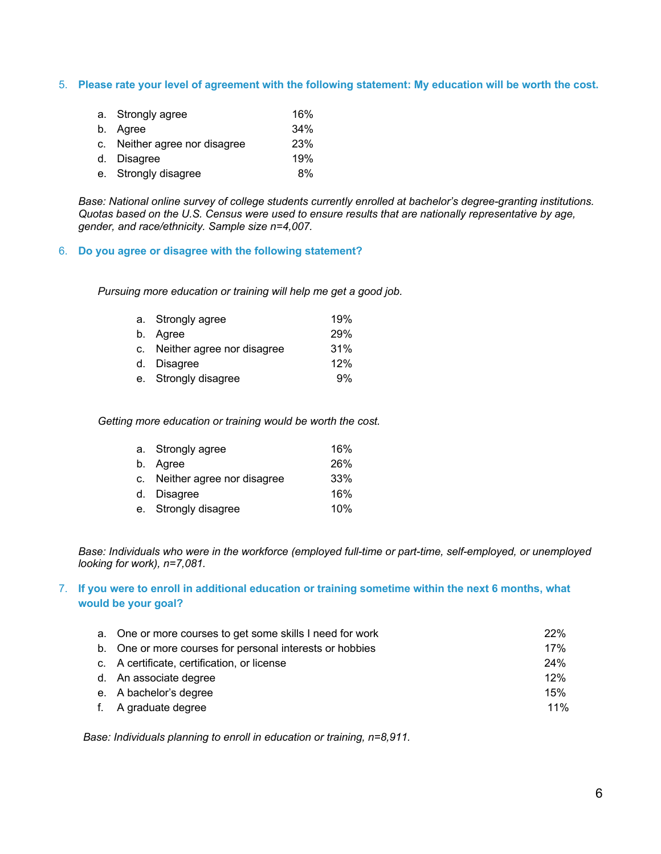5. **Please rate your level of agreement with the following statement: My education will be worth the cost.**

| a. Strongly agree             | 16%        |
|-------------------------------|------------|
| b. Agree                      | 34%        |
| c. Neither agree nor disagree | <b>23%</b> |
| d. Disagree                   | 19%        |
| e. Strongly disagree          | 8%         |

*Base: National online survey of college students currently enrolled at bachelor's degree-granting institutions. Quotas based on the U.S. Census were used to ensure results that are nationally representative by age, gender, and race/ethnicity. Sample size n=4,007.*

## 6. **Do you agree or disagree with the following statement?**

*Pursuing more education or training will help me get a good job.*

| a. Strongly agree             | 19%        |
|-------------------------------|------------|
| b. Agree                      | <b>29%</b> |
| c. Neither agree nor disagree | 31%        |
| d. Disagree                   | 12%        |
| e. Strongly disagree          | 9%         |

*Getting more education or training would be worth the cost.*

| a. Strongly agree             | 16%        |
|-------------------------------|------------|
| b. Agree                      | <b>26%</b> |
| c. Neither agree nor disagree | 33%        |
| d. Disagree                   | 16%        |
| e. Strongly disagree          | 10%        |

*Base: Individuals who were in the workforce (employed full-time or part-time, self-employed, or unemployed looking for work), n=7,081.*

# 7. **If you were to enroll in additional education or training sometime within the next 6 months, what would be your goal?**

| a. One or more courses to get some skills I need for work | 22% |
|-----------------------------------------------------------|-----|
| b. One or more courses for personal interests or hobbies  | 17% |
| c. A certificate, certification, or license               | 24% |
| d. An associate degree                                    | 12% |
| e. A bachelor's degree                                    | 15% |
| f. A graduate degree                                      | 11% |

*Base: Individuals planning to enroll in education or training, n=8,911.*